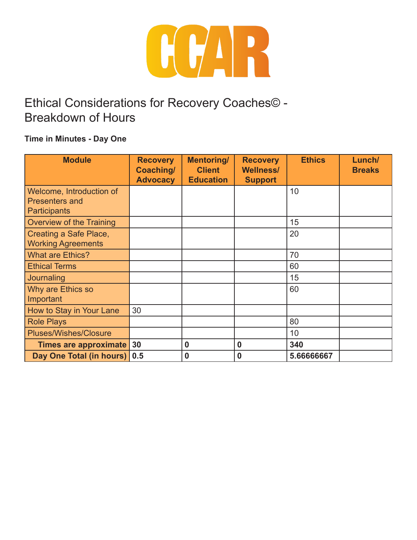

#### **Time in Minutes - Day One**

| <b>Module</b>                                | <b>Recovery</b><br>Coaching/<br><b>Advocacy</b> | <b>Mentoring/</b><br><b>Client</b><br><b>Education</b> | <b>Recovery</b><br><b>Wellness/</b><br><b>Support</b> | <b>Ethics</b> | Lunch/<br><b>Breaks</b> |
|----------------------------------------------|-------------------------------------------------|--------------------------------------------------------|-------------------------------------------------------|---------------|-------------------------|
| Welcome, Introduction of                     |                                                 |                                                        |                                                       | 10            |                         |
| <b>Presenters and</b><br><b>Participants</b> |                                                 |                                                        |                                                       |               |                         |
| <b>Overview of the Training</b>              |                                                 |                                                        |                                                       | 15            |                         |
| Creating a Safe Place,                       |                                                 |                                                        |                                                       | 20            |                         |
| <b>Working Agreements</b>                    |                                                 |                                                        |                                                       |               |                         |
| <b>What are Ethics?</b>                      |                                                 |                                                        |                                                       | 70            |                         |
| <b>Ethical Terms</b>                         |                                                 |                                                        |                                                       | 60            |                         |
| Journaling                                   |                                                 |                                                        |                                                       | 15            |                         |
| Why are Ethics so                            |                                                 |                                                        |                                                       | 60            |                         |
| Important                                    |                                                 |                                                        |                                                       |               |                         |
| How to Stay in Your Lane                     | 30                                              |                                                        |                                                       |               |                         |
| <b>Role Plays</b>                            |                                                 |                                                        |                                                       | 80            |                         |
| <b>Pluses/Wishes/Closure</b>                 |                                                 |                                                        |                                                       | 10            |                         |
| Times are approximate                        | 30                                              | $\bf{0}$                                               | 0                                                     | 340           |                         |
| Day One Total (in hours)                     | 0.5                                             | 0                                                      | 0                                                     | 5.66666667    |                         |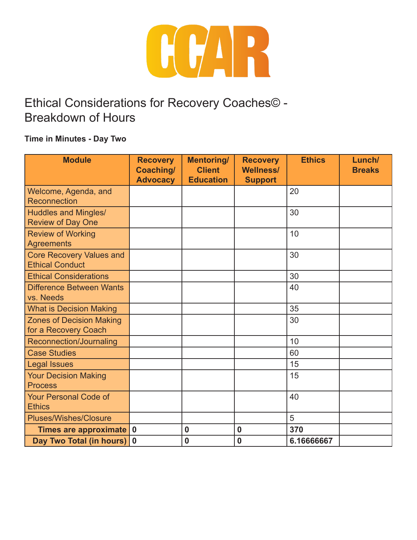

#### **Time in Minutes - Day Two**

| <b>Module</b>                                             | <b>Recovery</b><br>Coaching/<br><b>Advocacy</b> | <b>Mentoring/</b><br><b>Client</b><br><b>Education</b> | <b>Recovery</b><br><b>Wellness/</b><br><b>Support</b> | <b>Ethics</b> | Lunch/<br><b>Breaks</b> |
|-----------------------------------------------------------|-------------------------------------------------|--------------------------------------------------------|-------------------------------------------------------|---------------|-------------------------|
| Welcome, Agenda, and<br>Reconnection                      |                                                 |                                                        |                                                       | 20            |                         |
| <b>Huddles and Mingles/</b><br><b>Review of Day One</b>   |                                                 |                                                        |                                                       | 30            |                         |
| <b>Review of Working</b><br><b>Agreements</b>             |                                                 |                                                        |                                                       | 10            |                         |
| <b>Core Recovery Values and</b><br><b>Ethical Conduct</b> |                                                 |                                                        |                                                       | 30            |                         |
| <b>Ethical Considerations</b>                             |                                                 |                                                        |                                                       | 30            |                         |
| <b>Difference Between Wants</b><br>vs. Needs              |                                                 |                                                        |                                                       | 40            |                         |
| <b>What is Decision Making</b>                            |                                                 |                                                        |                                                       | 35            |                         |
| <b>Zones of Decision Making</b><br>for a Recovery Coach   |                                                 |                                                        |                                                       | 30            |                         |
| Reconnection/Journaling                                   |                                                 |                                                        |                                                       | 10            |                         |
| <b>Case Studies</b>                                       |                                                 |                                                        |                                                       | 60            |                         |
| <b>Legal Issues</b>                                       |                                                 |                                                        |                                                       | 15            |                         |
| <b>Your Decision Making</b><br><b>Process</b>             |                                                 |                                                        |                                                       | 15            |                         |
| <b>Your Personal Code of</b><br><b>Ethics</b>             |                                                 |                                                        |                                                       | 40            |                         |
| <b>Pluses/Wishes/Closure</b>                              |                                                 |                                                        |                                                       | 5             |                         |
| Times are approximate                                     | $\mathbf 0$                                     | $\bf{0}$                                               | $\bf{0}$                                              | 370           |                         |
| <b>Day Two Total (in hours)</b>                           | $\boldsymbol{0}$                                | $\bf{0}$                                               | $\mathbf 0$                                           | 6.16666667    |                         |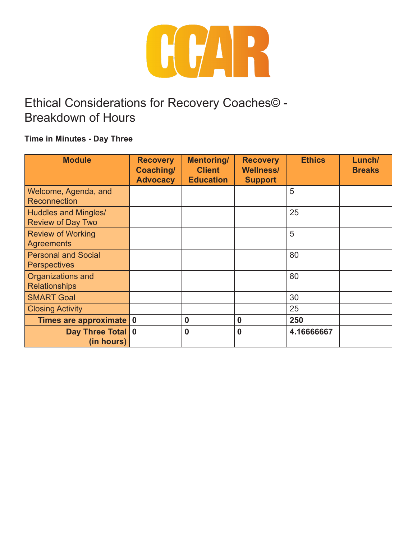

#### **Time in Minutes - Day Three**

| <b>Module</b>                                           | <b>Recovery</b><br>Coaching/<br><b>Advocacy</b> | <b>Mentoring/</b><br><b>Client</b><br><b>Education</b> | <b>Recovery</b><br><b>Wellness/</b><br><b>Support</b> | <b>Ethics</b> | Lunch/<br><b>Breaks</b> |
|---------------------------------------------------------|-------------------------------------------------|--------------------------------------------------------|-------------------------------------------------------|---------------|-------------------------|
| Welcome, Agenda, and<br>Reconnection                    |                                                 |                                                        |                                                       | 5             |                         |
| <b>Huddles and Mingles/</b><br><b>Review of Day Two</b> |                                                 |                                                        |                                                       | 25            |                         |
| <b>Review of Working</b><br><b>Agreements</b>           |                                                 |                                                        |                                                       | 5             |                         |
| <b>Personal and Social</b><br><b>Perspectives</b>       |                                                 |                                                        |                                                       | 80            |                         |
| Organizations and<br><b>Relationships</b>               |                                                 |                                                        |                                                       | 80            |                         |
| <b>SMART Goal</b>                                       |                                                 |                                                        |                                                       | 30            |                         |
| <b>Closing Activity</b>                                 |                                                 |                                                        |                                                       | 25            |                         |
| Times are approximate                                   | $\boldsymbol{0}$                                | $\boldsymbol{0}$                                       | 0                                                     | 250           |                         |
| Day Three Total 0<br>(in hours)                         |                                                 | $\bf{0}$                                               | $\bf{0}$                                              | 4.16666667    |                         |